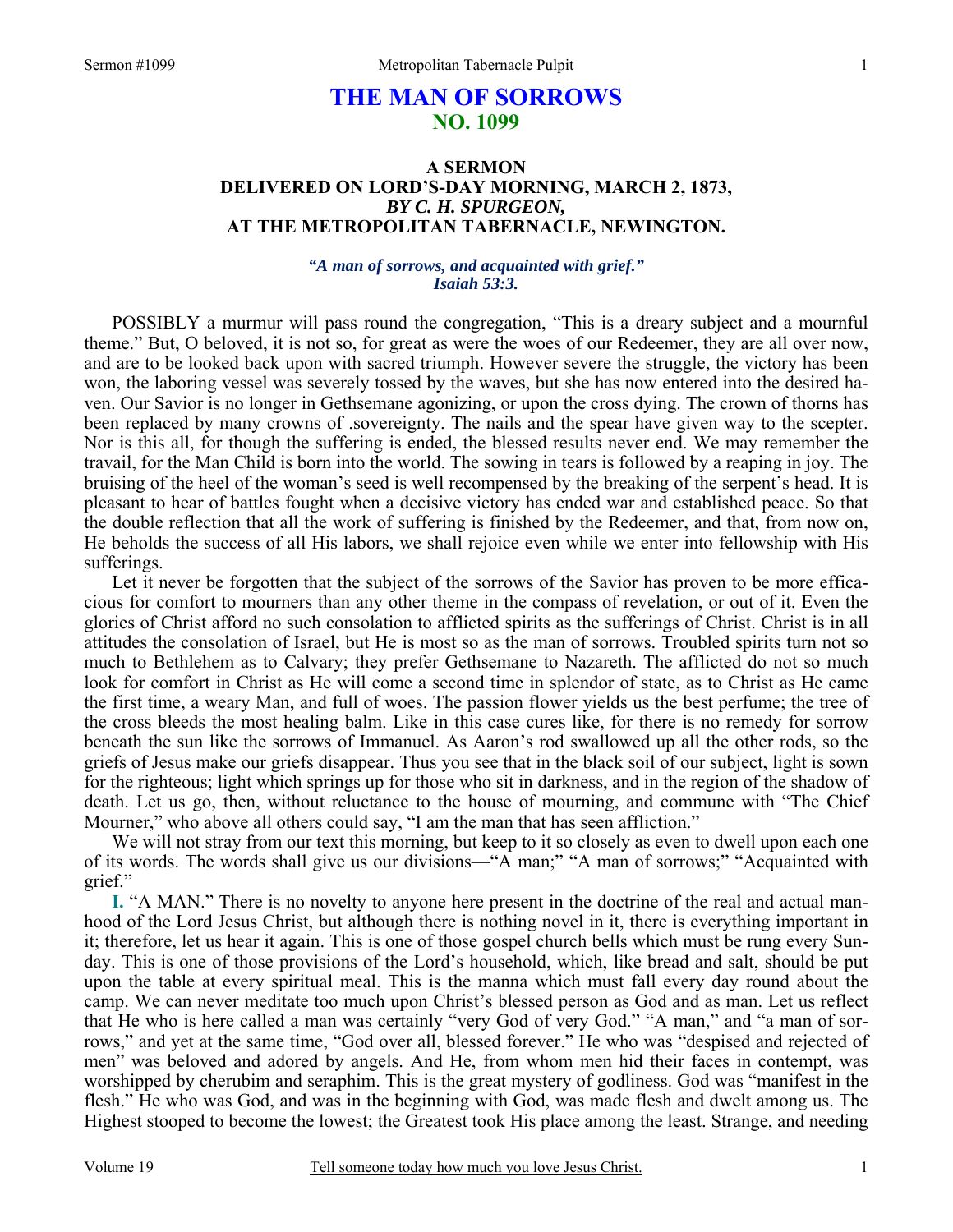# **THE MAN OF SORROWS NO. 1099**

## **A SERMON DELIVERED ON LORD'S-DAY MORNING, MARCH 2, 1873,**  *BY C. H. SPURGEON,*  **AT THE METROPOLITAN TABERNACLE, NEWINGTON.**

### *"A man of sorrows, and acquainted with grief." Isaiah 53:3.*

POSSIBLY a murmur will pass round the congregation, "This is a dreary subject and a mournful theme." But, O beloved, it is not so, for great as were the woes of our Redeemer, they are all over now, and are to be looked back upon with sacred triumph. However severe the struggle, the victory has been won, the laboring vessel was severely tossed by the waves, but she has now entered into the desired haven. Our Savior is no longer in Gethsemane agonizing, or upon the cross dying. The crown of thorns has been replaced by many crowns of .sovereignty. The nails and the spear have given way to the scepter. Nor is this all, for though the suffering is ended, the blessed results never end. We may remember the travail, for the Man Child is born into the world. The sowing in tears is followed by a reaping in joy. The bruising of the heel of the woman's seed is well recompensed by the breaking of the serpent's head. It is pleasant to hear of battles fought when a decisive victory has ended war and established peace. So that the double reflection that all the work of suffering is finished by the Redeemer, and that, from now on, He beholds the success of all His labors, we shall rejoice even while we enter into fellowship with His sufferings.

Let it never be forgotten that the subject of the sorrows of the Savior has proven to be more efficacious for comfort to mourners than any other theme in the compass of revelation, or out of it. Even the glories of Christ afford no such consolation to afflicted spirits as the sufferings of Christ. Christ is in all attitudes the consolation of Israel, but He is most so as the man of sorrows. Troubled spirits turn not so much to Bethlehem as to Calvary; they prefer Gethsemane to Nazareth. The afflicted do not so much look for comfort in Christ as He will come a second time in splendor of state, as to Christ as He came the first time, a weary Man, and full of woes. The passion flower yields us the best perfume; the tree of the cross bleeds the most healing balm. Like in this case cures like, for there is no remedy for sorrow beneath the sun like the sorrows of Immanuel. As Aaron's rod swallowed up all the other rods, so the griefs of Jesus make our griefs disappear. Thus you see that in the black soil of our subject, light is sown for the righteous; light which springs up for those who sit in darkness, and in the region of the shadow of death. Let us go, then, without reluctance to the house of mourning, and commune with "The Chief Mourner," who above all others could say, "I am the man that has seen affliction."

We will not stray from our text this morning, but keep to it so closely as even to dwell upon each one of its words. The words shall give us our divisions—"A man;" "A man of sorrows;" "Acquainted with grief."

**I.** "A MAN." There is no novelty to anyone here present in the doctrine of the real and actual manhood of the Lord Jesus Christ, but although there is nothing novel in it, there is everything important in it; therefore, let us hear it again. This is one of those gospel church bells which must be rung every Sunday. This is one of those provisions of the Lord's household, which, like bread and salt, should be put upon the table at every spiritual meal. This is the manna which must fall every day round about the camp. We can never meditate too much upon Christ's blessed person as God and as man. Let us reflect that He who is here called a man was certainly "very God of very God." "A man," and "a man of sorrows," and yet at the same time, "God over all, blessed forever." He who was "despised and rejected of men" was beloved and adored by angels. And He, from whom men hid their faces in contempt, was worshipped by cherubim and seraphim. This is the great mystery of godliness. God was "manifest in the flesh." He who was God, and was in the beginning with God, was made flesh and dwelt among us. The Highest stooped to become the lowest; the Greatest took His place among the least. Strange, and needing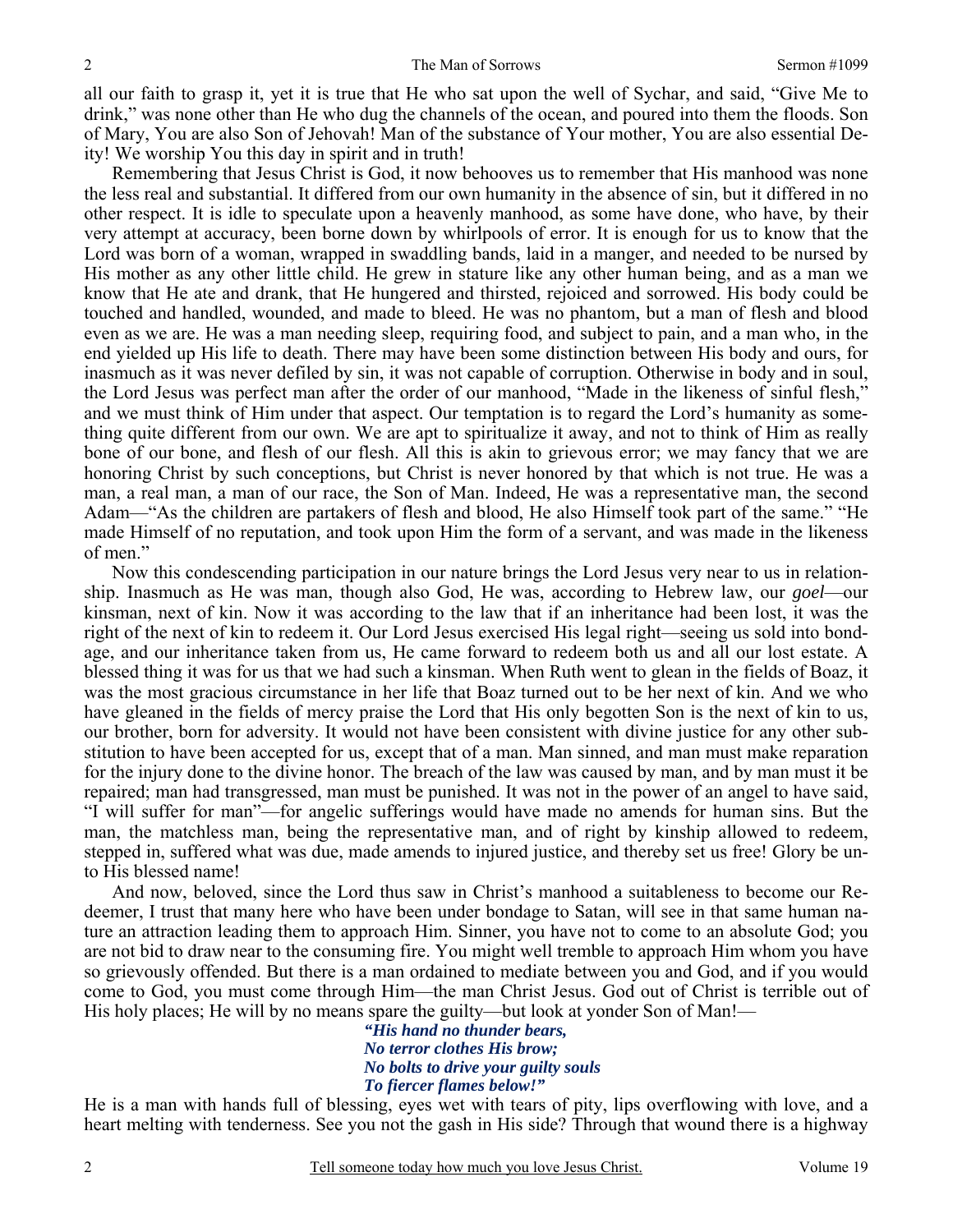all our faith to grasp it, yet it is true that He who sat upon the well of Sychar, and said, "Give Me to drink," was none other than He who dug the channels of the ocean, and poured into them the floods. Son of Mary, You are also Son of Jehovah! Man of the substance of Your mother, You are also essential Deity! We worship You this day in spirit and in truth!

Remembering that Jesus Christ is God, it now behooves us to remember that His manhood was none the less real and substantial. It differed from our own humanity in the absence of sin, but it differed in no other respect. It is idle to speculate upon a heavenly manhood, as some have done, who have, by their very attempt at accuracy, been borne down by whirlpools of error. It is enough for us to know that the Lord was born of a woman, wrapped in swaddling bands, laid in a manger, and needed to be nursed by His mother as any other little child. He grew in stature like any other human being, and as a man we know that He ate and drank, that He hungered and thirsted, rejoiced and sorrowed. His body could be touched and handled, wounded, and made to bleed. He was no phantom, but a man of flesh and blood even as we are. He was a man needing sleep, requiring food, and subject to pain, and a man who, in the end yielded up His life to death. There may have been some distinction between His body and ours, for inasmuch as it was never defiled by sin, it was not capable of corruption. Otherwise in body and in soul, the Lord Jesus was perfect man after the order of our manhood, "Made in the likeness of sinful flesh," and we must think of Him under that aspect. Our temptation is to regard the Lord's humanity as something quite different from our own. We are apt to spiritualize it away, and not to think of Him as really bone of our bone, and flesh of our flesh. All this is akin to grievous error; we may fancy that we are honoring Christ by such conceptions, but Christ is never honored by that which is not true. He was a man, a real man, a man of our race, the Son of Man. Indeed, He was a representative man, the second Adam—"As the children are partakers of flesh and blood, He also Himself took part of the same." "He made Himself of no reputation, and took upon Him the form of a servant, and was made in the likeness of men."

Now this condescending participation in our nature brings the Lord Jesus very near to us in relationship. Inasmuch as He was man, though also God, He was, according to Hebrew law, our *goel*—our kinsman, next of kin. Now it was according to the law that if an inheritance had been lost, it was the right of the next of kin to redeem it. Our Lord Jesus exercised His legal right—seeing us sold into bondage, and our inheritance taken from us, He came forward to redeem both us and all our lost estate. A blessed thing it was for us that we had such a kinsman. When Ruth went to glean in the fields of Boaz, it was the most gracious circumstance in her life that Boaz turned out to be her next of kin. And we who have gleaned in the fields of mercy praise the Lord that His only begotten Son is the next of kin to us, our brother, born for adversity. It would not have been consistent with divine justice for any other substitution to have been accepted for us, except that of a man. Man sinned, and man must make reparation for the injury done to the divine honor. The breach of the law was caused by man, and by man must it be repaired; man had transgressed, man must be punished. It was not in the power of an angel to have said, "I will suffer for man"—for angelic sufferings would have made no amends for human sins. But the man, the matchless man, being the representative man, and of right by kinship allowed to redeem, stepped in, suffered what was due, made amends to injured justice, and thereby set us free! Glory be unto His blessed name!

And now, beloved, since the Lord thus saw in Christ's manhood a suitableness to become our Redeemer, I trust that many here who have been under bondage to Satan, will see in that same human nature an attraction leading them to approach Him. Sinner, you have not to come to an absolute God; you are not bid to draw near to the consuming fire. You might well tremble to approach Him whom you have so grievously offended. But there is a man ordained to mediate between you and God, and if you would come to God, you must come through Him—the man Christ Jesus. God out of Christ is terrible out of His holy places; He will by no means spare the guilty—but look at yonder Son of Man!—

*"His hand no thunder bears, No terror clothes His brow; No bolts to drive your guilty souls To fiercer flames below!"* 

He is a man with hands full of blessing, eyes wet with tears of pity, lips overflowing with love, and a heart melting with tenderness. See you not the gash in His side? Through that wound there is a highway

2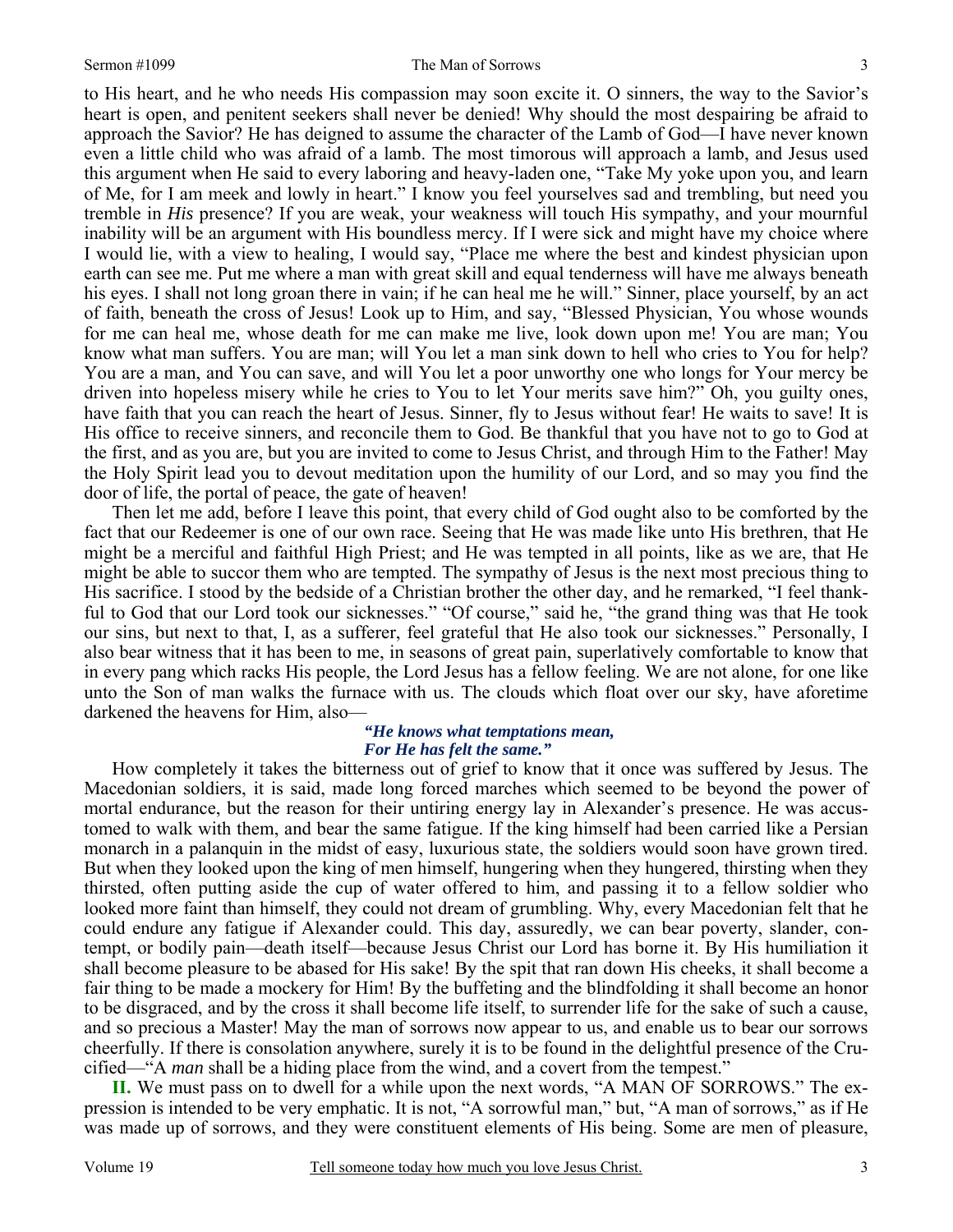to His heart, and he who needs His compassion may soon excite it. O sinners, the way to the Savior's heart is open, and penitent seekers shall never be denied! Why should the most despairing be afraid to approach the Savior? He has deigned to assume the character of the Lamb of God—I have never known even a little child who was afraid of a lamb. The most timorous will approach a lamb, and Jesus used this argument when He said to every laboring and heavy-laden one, "Take My yoke upon you, and learn of Me, for I am meek and lowly in heart." I know you feel yourselves sad and trembling, but need you tremble in *His* presence? If you are weak, your weakness will touch His sympathy, and your mournful inability will be an argument with His boundless mercy. If I were sick and might have my choice where I would lie, with a view to healing, I would say, "Place me where the best and kindest physician upon earth can see me. Put me where a man with great skill and equal tenderness will have me always beneath his eyes. I shall not long groan there in vain; if he can heal me he will." Sinner, place yourself, by an act of faith, beneath the cross of Jesus! Look up to Him, and say, "Blessed Physician, You whose wounds for me can heal me, whose death for me can make me live, look down upon me! You are man; You know what man suffers. You are man; will You let a man sink down to hell who cries to You for help? You are a man, and You can save, and will You let a poor unworthy one who longs for Your mercy be driven into hopeless misery while he cries to You to let Your merits save him?" Oh, you guilty ones, have faith that you can reach the heart of Jesus. Sinner, fly to Jesus without fear! He waits to save! It is His office to receive sinners, and reconcile them to God. Be thankful that you have not to go to God at the first, and as you are, but you are invited to come to Jesus Christ, and through Him to the Father! May the Holy Spirit lead you to devout meditation upon the humility of our Lord, and so may you find the door of life, the portal of peace, the gate of heaven!

Then let me add, before I leave this point, that every child of God ought also to be comforted by the fact that our Redeemer is one of our own race. Seeing that He was made like unto His brethren, that He might be a merciful and faithful High Priest; and He was tempted in all points, like as we are, that He might be able to succor them who are tempted. The sympathy of Jesus is the next most precious thing to His sacrifice. I stood by the bedside of a Christian brother the other day, and he remarked, "I feel thankful to God that our Lord took our sicknesses." "Of course," said he, "the grand thing was that He took our sins, but next to that, I, as a sufferer, feel grateful that He also took our sicknesses." Personally, I also bear witness that it has been to me, in seasons of great pain, superlatively comfortable to know that in every pang which racks His people, the Lord Jesus has a fellow feeling. We are not alone, for one like unto the Son of man walks the furnace with us. The clouds which float over our sky, have aforetime darkened the heavens for Him, also—

### *"He knows what temptations mean, For He has felt the same."*

 How completely it takes the bitterness out of grief to know that it once was suffered by Jesus. The Macedonian soldiers, it is said, made long forced marches which seemed to be beyond the power of mortal endurance, but the reason for their untiring energy lay in Alexander's presence. He was accustomed to walk with them, and bear the same fatigue. If the king himself had been carried like a Persian monarch in a palanquin in the midst of easy, luxurious state, the soldiers would soon have grown tired. But when they looked upon the king of men himself, hungering when they hungered, thirsting when they thirsted, often putting aside the cup of water offered to him, and passing it to a fellow soldier who looked more faint than himself, they could not dream of grumbling. Why, every Macedonian felt that he could endure any fatigue if Alexander could. This day, assuredly, we can bear poverty, slander, contempt, or bodily pain—death itself—because Jesus Christ our Lord has borne it. By His humiliation it shall become pleasure to be abased for His sake! By the spit that ran down His cheeks, it shall become a fair thing to be made a mockery for Him! By the buffeting and the blindfolding it shall become an honor to be disgraced, and by the cross it shall become life itself, to surrender life for the sake of such a cause, and so precious a Master! May the man of sorrows now appear to us, and enable us to bear our sorrows cheerfully. If there is consolation anywhere, surely it is to be found in the delightful presence of the Crucified—"A *man* shall be a hiding place from the wind, and a covert from the tempest."

**II.** We must pass on to dwell for a while upon the next words, "A MAN OF SORROWS." The expression is intended to be very emphatic. It is not, "A sorrowful man," but, "A man of sorrows," as if He was made up of sorrows, and they were constituent elements of His being. Some are men of pleasure,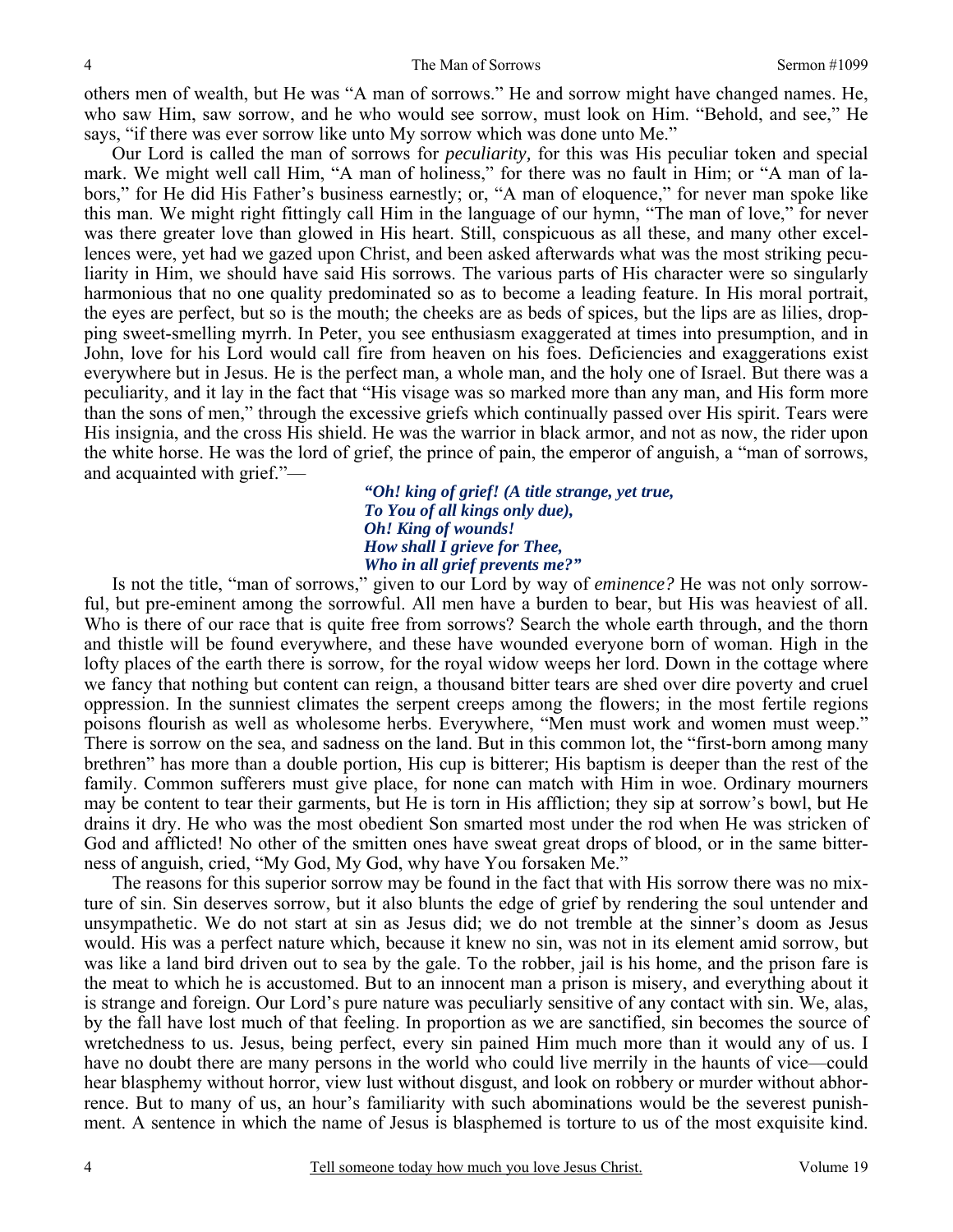others men of wealth, but He was "A man of sorrows." He and sorrow might have changed names. He, who saw Him, saw sorrow, and he who would see sorrow, must look on Him. "Behold, and see," He says, "if there was ever sorrow like unto My sorrow which was done unto Me."

Our Lord is called the man of sorrows for *peculiarity,* for this was His peculiar token and special mark. We might well call Him, "A man of holiness," for there was no fault in Him; or "A man of labors," for He did His Father's business earnestly; or, "A man of eloquence," for never man spoke like this man. We might right fittingly call Him in the language of our hymn, "The man of love," for never was there greater love than glowed in His heart. Still, conspicuous as all these, and many other excellences were, yet had we gazed upon Christ, and been asked afterwards what was the most striking peculiarity in Him, we should have said His sorrows. The various parts of His character were so singularly harmonious that no one quality predominated so as to become a leading feature. In His moral portrait, the eyes are perfect, but so is the mouth; the cheeks are as beds of spices, but the lips are as lilies, dropping sweet-smelling myrrh. In Peter, you see enthusiasm exaggerated at times into presumption, and in John, love for his Lord would call fire from heaven on his foes. Deficiencies and exaggerations exist everywhere but in Jesus. He is the perfect man, a whole man, and the holy one of Israel. But there was a peculiarity, and it lay in the fact that "His visage was so marked more than any man, and His form more than the sons of men," through the excessive griefs which continually passed over His spirit. Tears were His insignia, and the cross His shield. He was the warrior in black armor, and not as now, the rider upon the white horse. He was the lord of grief, the prince of pain, the emperor of anguish, a "man of sorrows, and acquainted with grief."—

> *"Oh! king of grief! (A title strange, yet true, To You of all kings only due), Oh! King of wounds! How shall I grieve for Thee, Who in all grief prevents me?"*

 Is not the title, "man of sorrows," given to our Lord by way of *eminence?* He was not only sorrowful, but pre-eminent among the sorrowful. All men have a burden to bear, but His was heaviest of all. Who is there of our race that is quite free from sorrows? Search the whole earth through, and the thorn and thistle will be found everywhere, and these have wounded everyone born of woman. High in the lofty places of the earth there is sorrow, for the royal widow weeps her lord. Down in the cottage where we fancy that nothing but content can reign, a thousand bitter tears are shed over dire poverty and cruel oppression. In the sunniest climates the serpent creeps among the flowers; in the most fertile regions poisons flourish as well as wholesome herbs. Everywhere, "Men must work and women must weep." There is sorrow on the sea, and sadness on the land. But in this common lot, the "first-born among many brethren" has more than a double portion, His cup is bitterer; His baptism is deeper than the rest of the family. Common sufferers must give place, for none can match with Him in woe. Ordinary mourners may be content to tear their garments, but He is torn in His affliction; they sip at sorrow's bowl, but He drains it dry. He who was the most obedient Son smarted most under the rod when He was stricken of God and afflicted! No other of the smitten ones have sweat great drops of blood, or in the same bitterness of anguish, cried, "My God, My God, why have You forsaken Me."

 The reasons for this superior sorrow may be found in the fact that with His sorrow there was no mixture of sin. Sin deserves sorrow, but it also blunts the edge of grief by rendering the soul untender and unsympathetic. We do not start at sin as Jesus did; we do not tremble at the sinner's doom as Jesus would. His was a perfect nature which, because it knew no sin, was not in its element amid sorrow, but was like a land bird driven out to sea by the gale. To the robber, jail is his home, and the prison fare is the meat to which he is accustomed. But to an innocent man a prison is misery, and everything about it is strange and foreign. Our Lord's pure nature was peculiarly sensitive of any contact with sin. We, alas, by the fall have lost much of that feeling. In proportion as we are sanctified, sin becomes the source of wretchedness to us. Jesus, being perfect, every sin pained Him much more than it would any of us. I have no doubt there are many persons in the world who could live merrily in the haunts of vice—could hear blasphemy without horror, view lust without disgust, and look on robbery or murder without abhorrence. But to many of us, an hour's familiarity with such abominations would be the severest punishment. A sentence in which the name of Jesus is blasphemed is torture to us of the most exquisite kind.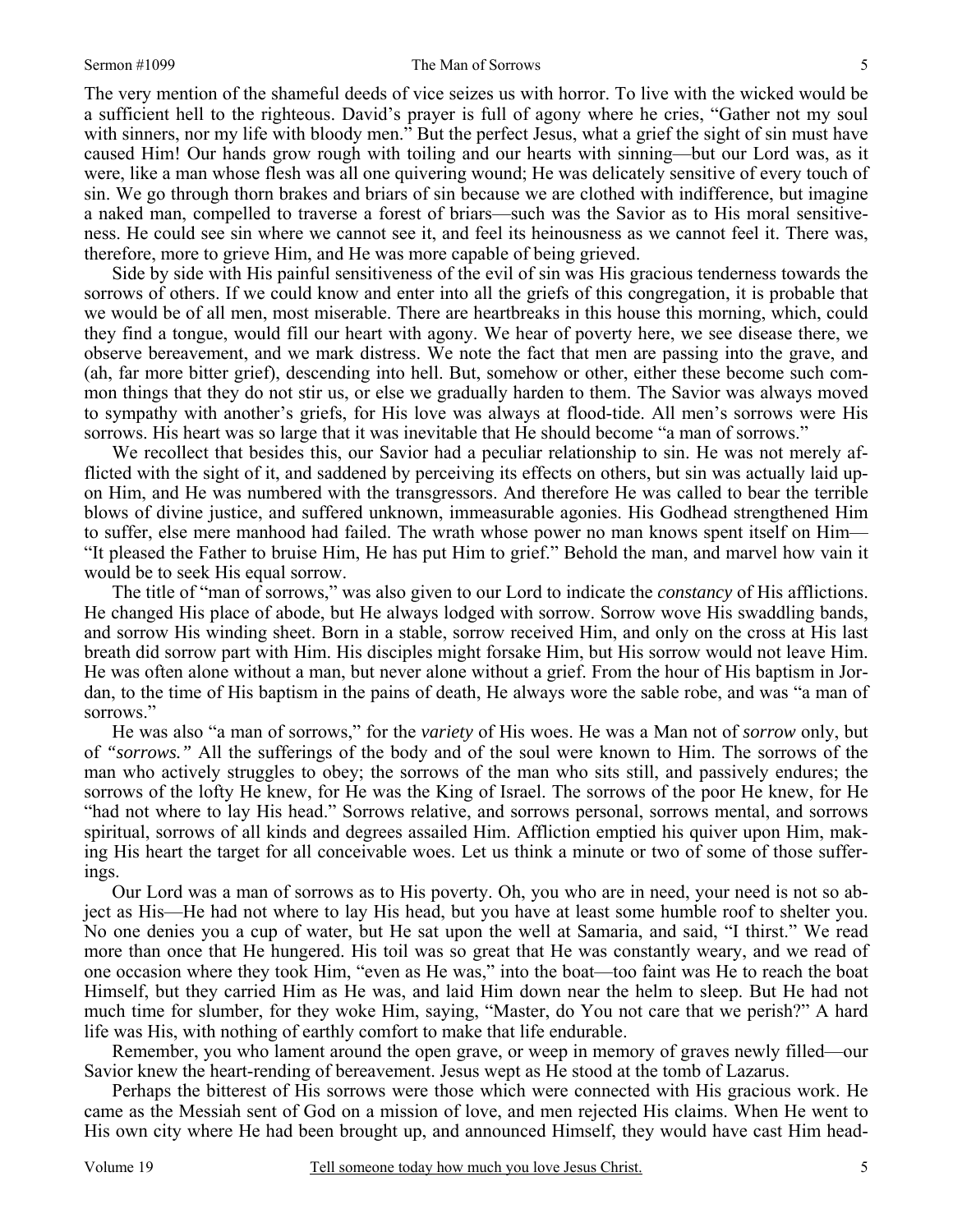### Sermon #1099 The Man of Sorrows

The very mention of the shameful deeds of vice seizes us with horror. To live with the wicked would be a sufficient hell to the righteous. David's prayer is full of agony where he cries, "Gather not my soul with sinners, nor my life with bloody men." But the perfect Jesus, what a grief the sight of sin must have caused Him! Our hands grow rough with toiling and our hearts with sinning—but our Lord was, as it were, like a man whose flesh was all one quivering wound; He was delicately sensitive of every touch of sin. We go through thorn brakes and briars of sin because we are clothed with indifference, but imagine a naked man, compelled to traverse a forest of briars—such was the Savior as to His moral sensitiveness. He could see sin where we cannot see it, and feel its heinousness as we cannot feel it. There was, therefore, more to grieve Him, and He was more capable of being grieved.

 Side by side with His painful sensitiveness of the evil of sin was His gracious tenderness towards the sorrows of others. If we could know and enter into all the griefs of this congregation, it is probable that we would be of all men, most miserable. There are heartbreaks in this house this morning, which, could they find a tongue, would fill our heart with agony. We hear of poverty here, we see disease there, we observe bereavement, and we mark distress. We note the fact that men are passing into the grave, and (ah, far more bitter grief), descending into hell. But, somehow or other, either these become such common things that they do not stir us, or else we gradually harden to them. The Savior was always moved to sympathy with another's griefs, for His love was always at flood-tide. All men's sorrows were His sorrows. His heart was so large that it was inevitable that He should become "a man of sorrows."

 We recollect that besides this, our Savior had a peculiar relationship to sin. He was not merely afflicted with the sight of it, and saddened by perceiving its effects on others, but sin was actually laid upon Him, and He was numbered with the transgressors. And therefore He was called to bear the terrible blows of divine justice, and suffered unknown, immeasurable agonies. His Godhead strengthened Him to suffer, else mere manhood had failed. The wrath whose power no man knows spent itself on Him— "It pleased the Father to bruise Him, He has put Him to grief." Behold the man, and marvel how vain it would be to seek His equal sorrow.

The title of "man of sorrows," was also given to our Lord to indicate the *constancy* of His afflictions. He changed His place of abode, but He always lodged with sorrow. Sorrow wove His swaddling bands, and sorrow His winding sheet. Born in a stable, sorrow received Him, and only on the cross at His last breath did sorrow part with Him. His disciples might forsake Him, but His sorrow would not leave Him. He was often alone without a man, but never alone without a grief. From the hour of His baptism in Jordan, to the time of His baptism in the pains of death, He always wore the sable robe, and was "a man of sorrows."

He was also "a man of sorrows," for the *variety* of His woes. He was a Man not of *sorrow* only, but of *"sorrows."* All the sufferings of the body and of the soul were known to Him. The sorrows of the man who actively struggles to obey; the sorrows of the man who sits still, and passively endures; the sorrows of the lofty He knew, for He was the King of Israel. The sorrows of the poor He knew, for He "had not where to lay His head." Sorrows relative, and sorrows personal, sorrows mental, and sorrows spiritual, sorrows of all kinds and degrees assailed Him. Affliction emptied his quiver upon Him, making His heart the target for all conceivable woes. Let us think a minute or two of some of those sufferings.

Our Lord was a man of sorrows as to His poverty. Oh, you who are in need, your need is not so abject as His—He had not where to lay His head, but you have at least some humble roof to shelter you. No one denies you a cup of water, but He sat upon the well at Samaria, and said, "I thirst." We read more than once that He hungered. His toil was so great that He was constantly weary, and we read of one occasion where they took Him, "even as He was," into the boat—too faint was He to reach the boat Himself, but they carried Him as He was, and laid Him down near the helm to sleep. But He had not much time for slumber, for they woke Him, saying, "Master, do You not care that we perish?" A hard life was His, with nothing of earthly comfort to make that life endurable.

Remember, you who lament around the open grave, or weep in memory of graves newly filled—our Savior knew the heart-rending of bereavement. Jesus wept as He stood at the tomb of Lazarus.

Perhaps the bitterest of His sorrows were those which were connected with His gracious work. He came as the Messiah sent of God on a mission of love, and men rejected His claims. When He went to His own city where He had been brought up, and announced Himself, they would have cast Him head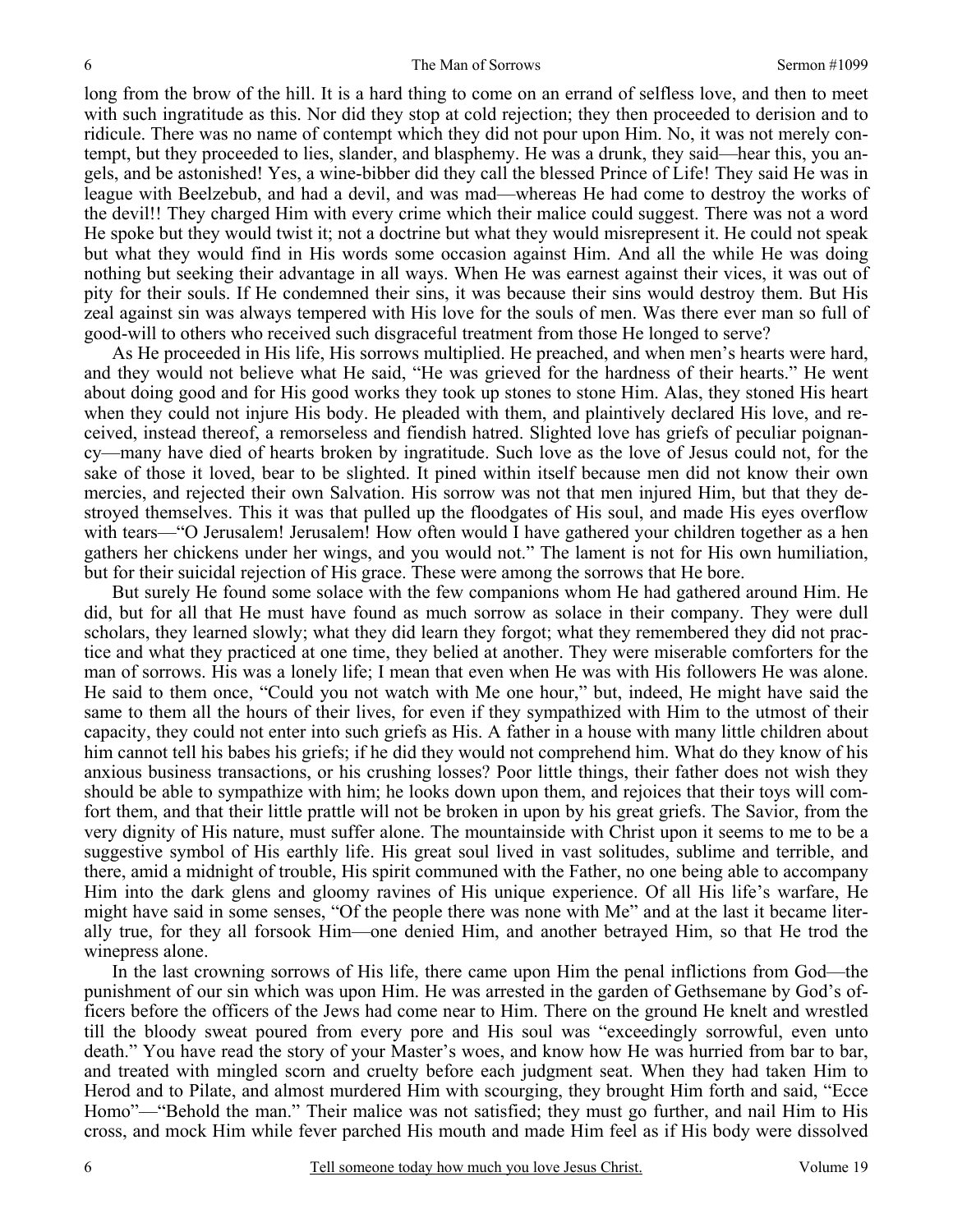long from the brow of the hill. It is a hard thing to come on an errand of selfless love, and then to meet with such ingratitude as this. Nor did they stop at cold rejection; they then proceeded to derision and to ridicule. There was no name of contempt which they did not pour upon Him. No, it was not merely contempt, but they proceeded to lies, slander, and blasphemy. He was a drunk, they said—hear this, you angels, and be astonished! Yes, a wine-bibber did they call the blessed Prince of Life! They said He was in league with Beelzebub, and had a devil, and was mad—whereas He had come to destroy the works of the devil!! They charged Him with every crime which their malice could suggest. There was not a word He spoke but they would twist it; not a doctrine but what they would misrepresent it. He could not speak but what they would find in His words some occasion against Him. And all the while He was doing nothing but seeking their advantage in all ways. When He was earnest against their vices, it was out of pity for their souls. If He condemned their sins, it was because their sins would destroy them. But His zeal against sin was always tempered with His love for the souls of men. Was there ever man so full of good-will to others who received such disgraceful treatment from those He longed to serve?

As He proceeded in His life, His sorrows multiplied. He preached, and when men's hearts were hard, and they would not believe what He said, "He was grieved for the hardness of their hearts." He went about doing good and for His good works they took up stones to stone Him. Alas, they stoned His heart when they could not injure His body. He pleaded with them, and plaintively declared His love, and received, instead thereof, a remorseless and fiendish hatred. Slighted love has griefs of peculiar poignancy—many have died of hearts broken by ingratitude. Such love as the love of Jesus could not, for the sake of those it loved, bear to be slighted. It pined within itself because men did not know their own mercies, and rejected their own Salvation. His sorrow was not that men injured Him, but that they destroyed themselves. This it was that pulled up the floodgates of His soul, and made His eyes overflow with tears—"O Jerusalem! Jerusalem! How often would I have gathered your children together as a hen gathers her chickens under her wings, and you would not." The lament is not for His own humiliation, but for their suicidal rejection of His grace. These were among the sorrows that He bore.

But surely He found some solace with the few companions whom He had gathered around Him. He did, but for all that He must have found as much sorrow as solace in their company. They were dull scholars, they learned slowly; what they did learn they forgot; what they remembered they did not practice and what they practiced at one time, they belied at another. They were miserable comforters for the man of sorrows. His was a lonely life; I mean that even when He was with His followers He was alone. He said to them once, "Could you not watch with Me one hour," but, indeed, He might have said the same to them all the hours of their lives, for even if they sympathized with Him to the utmost of their capacity, they could not enter into such griefs as His. A father in a house with many little children about him cannot tell his babes his griefs; if he did they would not comprehend him. What do they know of his anxious business transactions, or his crushing losses? Poor little things, their father does not wish they should be able to sympathize with him; he looks down upon them, and rejoices that their toys will comfort them, and that their little prattle will not be broken in upon by his great griefs. The Savior, from the very dignity of His nature, must suffer alone. The mountainside with Christ upon it seems to me to be a suggestive symbol of His earthly life. His great soul lived in vast solitudes, sublime and terrible, and there, amid a midnight of trouble, His spirit communed with the Father, no one being able to accompany Him into the dark glens and gloomy ravines of His unique experience. Of all His life's warfare, He might have said in some senses, "Of the people there was none with Me" and at the last it became literally true, for they all forsook Him—one denied Him, and another betrayed Him, so that He trod the winepress alone.

In the last crowning sorrows of His life, there came upon Him the penal inflictions from God—the punishment of our sin which was upon Him. He was arrested in the garden of Gethsemane by God's officers before the officers of the Jews had come near to Him. There on the ground He knelt and wrestled till the bloody sweat poured from every pore and His soul was "exceedingly sorrowful, even unto death." You have read the story of your Master's woes, and know how He was hurried from bar to bar, and treated with mingled scorn and cruelty before each judgment seat. When they had taken Him to Herod and to Pilate, and almost murdered Him with scourging, they brought Him forth and said, "Ecce Homo"—"Behold the man." Their malice was not satisfied; they must go further, and nail Him to His cross, and mock Him while fever parched His mouth and made Him feel as if His body were dissolved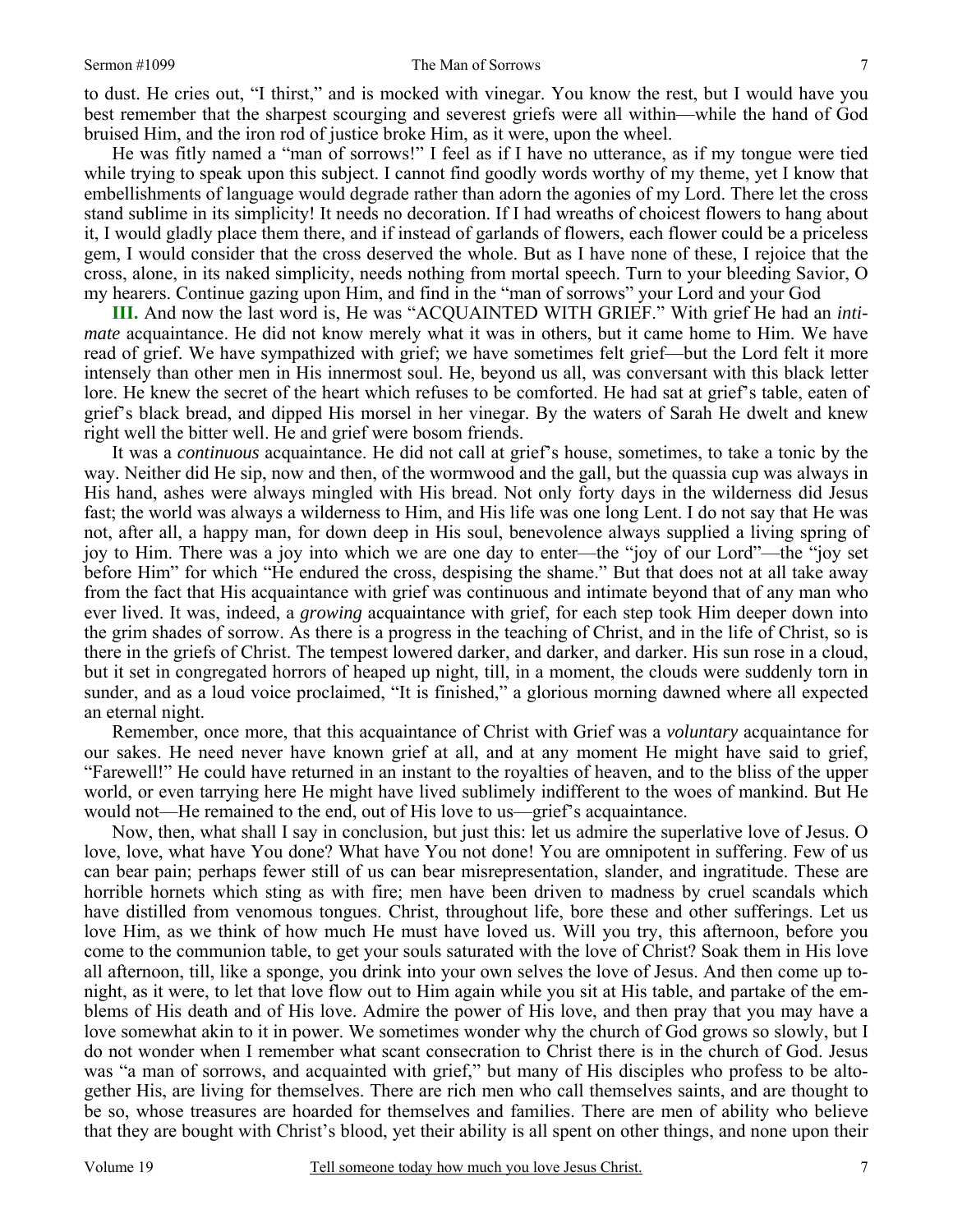### Sermon #1099 The Man of Sorrows

to dust. He cries out, "I thirst," and is mocked with vinegar. You know the rest, but I would have you best remember that the sharpest scourging and severest griefs were all within—while the hand of God bruised Him, and the iron rod of justice broke Him, as it were, upon the wheel.

He was fitly named a "man of sorrows!" I feel as if I have no utterance, as if my tongue were tied while trying to speak upon this subject. I cannot find goodly words worthy of my theme, yet I know that embellishments of language would degrade rather than adorn the agonies of my Lord. There let the cross stand sublime in its simplicity! It needs no decoration. If I had wreaths of choicest flowers to hang about it, I would gladly place them there, and if instead of garlands of flowers, each flower could be a priceless gem, I would consider that the cross deserved the whole. But as I have none of these, I rejoice that the cross, alone, in its naked simplicity, needs nothing from mortal speech. Turn to your bleeding Savior, O my hearers. Continue gazing upon Him, and find in the "man of sorrows" your Lord and your God

**III.** And now the last word is, He was "ACQUAINTED WITH GRIEF." With grief He had an *intimate* acquaintance. He did not know merely what it was in others, but it came home to Him. We have read of grief. We have sympathized with grief; we have sometimes felt grief—but the Lord felt it more intensely than other men in His innermost soul. He, beyond us all, was conversant with this black letter lore. He knew the secret of the heart which refuses to be comforted. He had sat at grief's table, eaten of grief's black bread, and dipped His morsel in her vinegar. By the waters of Sarah He dwelt and knew right well the bitter well. He and grief were bosom friends.

It was a *continuous* acquaintance. He did not call at grief's house, sometimes, to take a tonic by the way. Neither did He sip, now and then, of the wormwood and the gall, but the quassia cup was always in His hand, ashes were always mingled with His bread. Not only forty days in the wilderness did Jesus fast; the world was always a wilderness to Him, and His life was one long Lent. I do not say that He was not, after all, a happy man, for down deep in His soul, benevolence always supplied a living spring of joy to Him. There was a joy into which we are one day to enter—the "joy of our Lord"—the "joy set before Him" for which "He endured the cross, despising the shame." But that does not at all take away from the fact that His acquaintance with grief was continuous and intimate beyond that of any man who ever lived. It was, indeed, a *growing* acquaintance with grief, for each step took Him deeper down into the grim shades of sorrow. As there is a progress in the teaching of Christ, and in the life of Christ, so is there in the griefs of Christ. The tempest lowered darker, and darker, and darker. His sun rose in a cloud, but it set in congregated horrors of heaped up night, till, in a moment, the clouds were suddenly torn in sunder, and as a loud voice proclaimed, "It is finished," a glorious morning dawned where all expected an eternal night.

Remember, once more, that this acquaintance of Christ with Grief was a *voluntary* acquaintance for our sakes. He need never have known grief at all, and at any moment He might have said to grief, "Farewell!" He could have returned in an instant to the royalties of heaven, and to the bliss of the upper world, or even tarrying here He might have lived sublimely indifferent to the woes of mankind. But He would not—He remained to the end, out of His love to us—grief's acquaintance.

Now, then, what shall I say in conclusion, but just this: let us admire the superlative love of Jesus. O love, love, what have You done? What have You not done! You are omnipotent in suffering. Few of us can bear pain; perhaps fewer still of us can bear misrepresentation, slander, and ingratitude. These are horrible hornets which sting as with fire; men have been driven to madness by cruel scandals which have distilled from venomous tongues. Christ, throughout life, bore these and other sufferings. Let us love Him, as we think of how much He must have loved us. Will you try, this afternoon, before you come to the communion table, to get your souls saturated with the love of Christ? Soak them in His love all afternoon, till, like a sponge, you drink into your own selves the love of Jesus. And then come up tonight, as it were, to let that love flow out to Him again while you sit at His table, and partake of the emblems of His death and of His love. Admire the power of His love, and then pray that you may have a love somewhat akin to it in power. We sometimes wonder why the church of God grows so slowly, but I do not wonder when I remember what scant consecration to Christ there is in the church of God. Jesus was "a man of sorrows, and acquainted with grief," but many of His disciples who profess to be altogether His, are living for themselves. There are rich men who call themselves saints, and are thought to be so, whose treasures are hoarded for themselves and families. There are men of ability who believe that they are bought with Christ's blood, yet their ability is all spent on other things, and none upon their